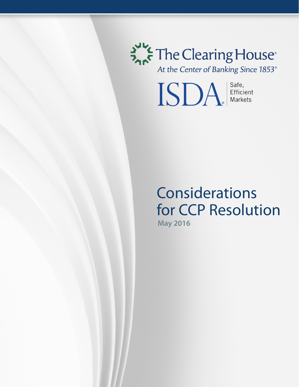

At the Center of Banking Since 1853<sup>®</sup>

ISDA Efficient

# Considerations for CCP Resolution **May 2016**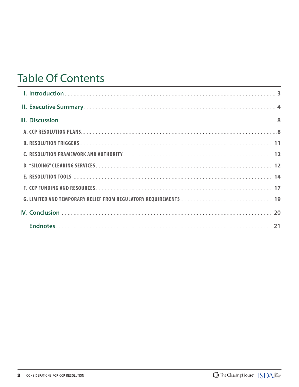# **Table Of Contents**

| II. Executive Summary <b>Executive Summary 4</b>                                  |  |
|-----------------------------------------------------------------------------------|--|
|                                                                                   |  |
|                                                                                   |  |
| <b>B. RESOLUTION TRIGGERS</b> [11] <b>11</b>                                      |  |
| C. RESOLUTION FRAMEWORK AND AUTHORITY [12] THE RESOLUTION FRAMEWORK AND AUTHORITY |  |
|                                                                                   |  |
|                                                                                   |  |
|                                                                                   |  |
|                                                                                   |  |
|                                                                                   |  |
|                                                                                   |  |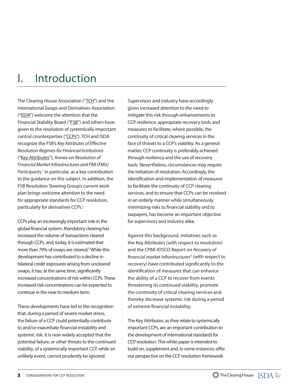# I. Introduction

The Clearing House Association ("TCH") and the International Swaps and Derivatives Association ("ISDA") welcome the attention that the Financial Stability Board ("FSB") and others have given to the resolution of systemically important central counterparties ("CCPs"). TCH and ISDA recognize the FSB's Key Attributes of Effective *Resolution Regimes for Financial Institutions* ("Key Attributes"), Annex on *Resolution of Financial Market Infrastructures and FMI (FMIs)*  Participants,<sup>1</sup> in particular, as a key contribution to the guidance on this subject. In addition, the FSB Resolution Steering Group's current work plan brings welcome attention to the need for appropriate standards for CCP resolution, particularly for derivatives CCPs.<sup>2</sup>

CCPs play an increasingly important role in the global financial system. Mandatory clearing has increased the volume of transactions cleared through CCPs, and, today, it is estimated that more than 70% of swaps are cleared.<sup>3</sup> While this development has contributed to a decline in bilateral credit exposures arising from uncleared swaps, it has, at the same time, significantly increased concentrations of risk within CCPs. These increased risk concentrations can be expected to continue in the near to medium term.

These developments have led to the recognition that, during a period of severe market stress, the failure of a CCP could potentially contribute to and/or exacerbate financial instability and systemic risk. It is now widely accepted that the potential failure, or other threats to the continued viability, of a systemically important CCP, while an unlikely event, cannot prudently be ignored.

Supervisors and industry have accordingly given increased attention to the need to mitigate this risk through enhancements to CCP resilience, appropriate recovery tools and measures to facilitate, where possible, the continuity of critical clearing services in the face of threats to a CCP's viability. As a general matter, CCP continuity is preferably achieved through resiliency and the use of recovery tools. Nevertheless, circumstances may require the initiation of resolution. Accordingly, the identification and implementation of measures to facilitate the continuity of CCP clearing services, and to ensure that CCPs can be resolved in an orderly manner while simultaneously minimizing risks to financial stability and to taxpayers, has become an important objective for supervisors and industry alike.

Against this background, initiatives such as the Key Attributes (with respect to resolution) and the CPMI-IOSCO Report on *Recovery of fi nancial market infrastructures*<sup>4</sup> (with respect to recovery) have contributed significantly to the identification of measures that can enhance the ability of a CCP to recover from events threatening its continued viability, promote the continuity of critical clearing services and thereby decrease systemic risk during a period of extreme financial instability.

The Key Attributes, as they relate to systemically important CCPs, are an important contribution to the development of international standards for CCP resolution. This white paper is intended to build on, supplement and, in some instances, offer our perspective on the CCP resolution framework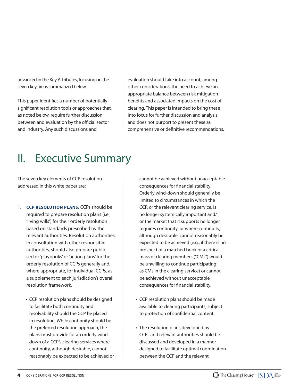advanced in the Key Attributes, focusing on the seven key areas summarized below.

This paper identifies a number of potentially significant resolution tools or approaches that, as noted below, require further discussion between and evaluation by the official sector and industry. Any such discussions and

evaluation should take into account, among other considerations, the need to achieve an appropriate balance between risk mitigation benefits and associated impacts on the cost of clearing. This paper is intended to bring these into focus for further discussion and analysis and does not purport to present these as comprehensive or definitive recommendations.

# II. Executive Summary

The seven key elements of CCP resolution addressed in this white paper are:

- 1. **CCP RESOLUTION PLANS.** CCPs should be required to prepare resolution plans (i.e., 'living wills') for their orderly resolution based on standards prescribed by the relevant authorities. Resolution authorities, in consultation with other responsible authorities, should also prepare public sector 'playbooks' or 'action plans' for the orderly resolution of CCPs generally and, where appropriate, for individual CCPs, as a supplement to each jurisdiction's overall resolution framework.
	- CCP resolution plans should be designed to facilitate both continuity and resolvability should the CCP be placed in resolution. While continuity should be the preferred resolution approach, the plans must provide for an orderly winddown of a CCP's clearing services where continuity, although desirable, cannot reasonably be expected to be achieved or

cannot be achieved without unacceptable consequences for financial stability. Orderly wind-down should generally be limited to circumstances in which the CCP, or the relevant clearing service, is no longer systemically important and/ or the market that it supports no longer requires continuity, or where continuity, although desirable, cannot reasonably be expected to be achieved (e.g., if there is no prospect of a matched book or a critical mass of clearing members ("CMs") would be unwilling to continue participating as CMs in the clearing service) or cannot be achieved without unacceptable consequences for financial stability.

- CCP resolution plans should be made available to clearing participants, subject to protection of confidential content.
- The resolution plans developed by CCPs and relevant authorities should be discussed and developed in a manner designed to facilitate optimal coordination between the CCP and the relevant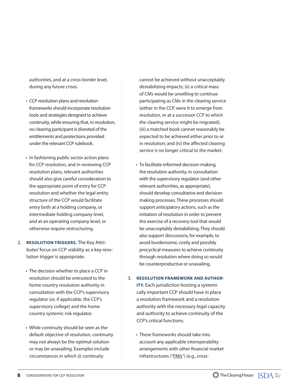authorities, and at a cross-border level, during any future crises.

- CCP resolution plans and resolution frameworks should incorporate resolution tools and strategies designed to achieve continuity, while ensuring that, in resolution, no clearing participant is divested of the entitlements and protections provided under the relevant CCP rulebook.
- In fashioning public sector action plans for CCP resolution, and in reviewing CCP resolution plans, relevant authorities should also give careful consideration to the appropriate point of entry for CCP resolution and whether the legal entity structure of the CCP would facilitate entry both at a holding company, or intermediate holding company level, and at an operating company level, or otherwise require restructuring.
- 2. **RESOLUTION TRIGGERS.** The Key Attributes' focus on CCP viability as a key resolution trigger is appropriate.
	- The decision whether to place a CCP in resolution should be entrusted to the home country resolution authority in consultation with the CCP's supervisory regulator (or, if applicable, the CCP's supervisory college) and the home country systemic risk regulator.
	- While continuity should be seen as the default objective of resolution, continuity may not always be the optimal solution or may be unavailing. Examples include circumstances in which (i) continuity

cannot be achieved without unacceptably destabilizing impacts; (ii) a critical mass of CMs would be unwilling to continue participating as CMs in the clearing service (either in the CCP, were it to emerge from resolution, or at a successor CCP to which the clearing service might be migrated); (iii) a matched book cannot reasonably be expected to be achieved either prior to or in resolution; and (iv) the affected clearing service is no longer critical to the market.

• To facilitate informed decision-making, the resolution authority, in consultation with the supervisory regulator (and other relevant authorities, as appropriate), should develop consultative and decisionmaking processes. These processes should support anticipatory actions, such as the initiation of resolution in order to prevent the exercise of a recovery tool that would be unacceptably destabilizing. They should also support discussions, for example, to avoid burdensome, costly and possibly procyclical measures to achieve continuity through resolution where doing so would be counterproductive or unavailing.

#### 3. **RESOLUTION FRAMEWORK AND AUTHOR-**

**ITY.** Each jurisdiction hosting a systemically important CCP should have in place a resolution framework and a resolution authority with the necessary legal capacity and authority to achieve continuity of the CCP's critical functions.

• These frameworks should take into account any applicable interoperability arrangements with other financial market infrastructures ("*FMIs*") (e.g., cross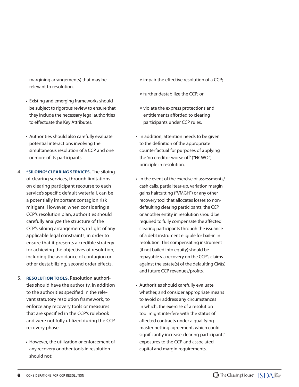margining arrangements) that may be relevant to resolution.

- Existing and emerging frameworks should be subject to rigorous review to ensure that they include the necessary legal authorities to effectuate the Key Attributes.
- Authorities should also carefully evaluate potential interactions involving the simultaneous resolution of a CCP and one or more of its participants.
- 4. **"SILOING" CLEARING SERVICES.** The siloing of clearing services, through limitations on clearing participant recourse to each service's specific default waterfall, can be a potentially important contagion risk mitigant. However, when considering a CCP's resolution plan, authorities should carefully analyze the structure of the CCP's siloing arrangements, in light of any applicable legal constraints, in order to ensure that it presents a credible strategy for achieving the objectives of resolution, including the avoidance of contagion or other destabilizing, second order effects.
- 5. **RESOLUTION TOOLS.** Resolution authorities should have the authority, in addition to the authorities specified in the relevant statutory resolution framework, to enforce any recovery tools or measures that are specified in the CCP's rulebook and were not fully utilized during the CCP recovery phase.
	- However, the utilization or enforcement of any recovery or other tools in resolution should not:
- <sup>o</sup> impair the effective resolution of a CCP;
- *º* further destabilize the CCP; or
- *º* violate the express protections and entitlements afforded to clearing participants under CCP rules.
- In addition, attention needs to be given to the definition of the appropriate counterfactual for purposes of applying the 'no creditor worse off' ("NCWO") principle in resolution.
- In the event of the exercise of assessments/ cash calls, partial tear-up, variation margin gains haircutting ("VMGH") or any other recovery tool that allocates losses to nondefaulting clearing participants, the CCP or another entity in resolution should be required to fully compensate the affected clearing participants through the issuance of a debt instrument eligible for bail-in in resolution. This compensating instrument (if not bailed into equity) should be repayable via recovery on the CCP's claims against the estate(s) of the defaulting CM(s) and future CCP revenues/profits.
- Authorities should carefully evaluate whether, and consider appropriate means to avoid or address any circumstances in which, the exercise of a resolution tool might interfere with the status of affected contracts under a qualifying master netting agreement, which could significantly increase clearing participants' exposures to the CCP and associated capital and margin requirements.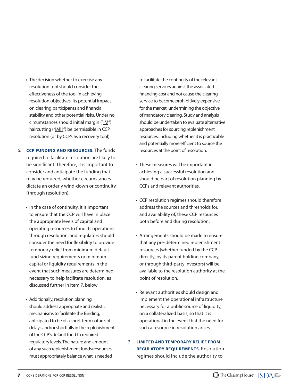- The decision whether to exercise any resolution tool should consider the effectiveness of the tool in achieving resolution objectives, its potential impact on clearing participants and financial stability and other potential risks. Under no circumstances should initial margin ("IM") haircutting ("IMH") be permissible in CCP resolution (or by CCPs as a recovery tool).
- 6. **CCP FUNDING AND RESOURCES.** The funds required to facilitate resolution are likely to be significant. Therefore, it is important to consider and anticipate the funding that may be required, whether circumstances dictate an orderly wind-down or continuity (through resolution).
	- In the case of continuity, it is important to ensure that the CCP will have in place the appropriate levels of capital and operating resources to fund its operations through resolution, and regulators should consider the need for flexibility to provide temporary relief from minimum default fund sizing requirements or minimum capital or liquidity requirements in the event that such measures are determined necessary to help facilitate resolution, as discussed further in item 7, below.
	- Additionally, resolution planning should address appropriate and realistic mechanisms to facilitate the funding, anticipated to be of a short-term nature, of delays and/or shortfalls in the replenishment of the CCP's default fund to required regulatory levels. The nature and amount of any such replenishment funds/resources must appropriately balance what is needed

to facilitate the continuity of the relevant clearing services against the associated financing cost and not cause the clearing service to become prohibitively expensive for the market, undermining the objective of mandatory clearing. Study and analysis should be undertaken to evaluate alternative approaches for sourcing replenishment resources, including whether it is practicable and potentially more efficient to source the resources at the point of resolution.

- These measures will be important in achieving a successful resolution and should be part of resolution planning by CCPs and relevant authorities.
- CCP resolution regimes should therefore address the sources and thresholds for, and availability of, these CCP resources both before and during resolution.
- Arrangements should be made to ensure that any pre-determined replenishment resources (whether funded by the CCP directly, by its parent holding company, or through third-party investors) will be available to the resolution authority at the point of resolution.
- Relevant authorities should design and implement the operational infrastructure necessary for a public source of liquidity, on a collateralized basis, so that it is operational in the event that the need for such a resource in resolution arises.
- 7. **LIMITED AND TEMPORARY RELIEF FROM REGULATORY REQUIREMENTS.** Resolution regimes should include the authority to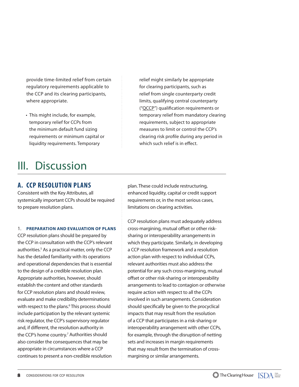provide time-limited relief from certain regulatory requirements applicable to the CCP and its clearing participants, where appropriate.

• This might include, for example, temporary relief for CCPs from the minimum default fund sizing requirements or minimum capital or liquidity requirements. Temporary

# III. Discussion

## **A. CCP RESOLUTION PLANS**

Consistent with the Key Attributes, all systemically important CCPs should be required to prepare resolution plans.

### 1. **PREPARATION AND EVALUATION OF PLANS**

CCP resolution plans should be prepared by the CCP in consultation with the CCP's relevant authorities.<sup>5</sup> As a practical matter, only the CCP has the detailed familiarity with its operations and operational dependencies that is essential to the design of a credible resolution plan. Appropriate authorities, however, should establish the content and other standards for CCP resolution plans and should review, evaluate and make credibility determinations with respect to the plans.<sup>6</sup> This process should include participation by the relevant systemic risk regulator, the CCP's supervisory regulator and, if different, the resolution authority in the CCP's home country.7 Authorities should also consider the consequences that may be appropriate in circumstances where a CCP continues to present a non-credible resolution

relief might similarly be appropriate for clearing participants, such as relief from single counterparty credit limits, qualifying central counterparty ("QCCP") qualification requirements or temporary relief from mandatory clearing requirements, subject to appropriate measures to limit or control the CCP's clearing risk profile during any period in which such relief is in effect.

plan. These could include restructuring, enhanced liquidity, capital or credit support requirements or, in the most serious cases, limitations on clearing activities.

CCP resolution plans must adequately address cross-margining, mutual offset or other risksharing or interoperability arrangements in which they participate. Similarly, in developing a CCP resolution framework and a resolution action plan with respect to individual CCPs, relevant authorities must also address the potential for any such cross-margining, mutual offset or other risk-sharing or interoperability arrangements to lead to contagion or otherwise require action with respect to all the CCPs involved in such arrangements. Consideration should specifically be given to the procyclical impacts that may result from the resolution of a CCP that participates in a risk-sharing or interoperability arrangement with other CCPs, for example, through the disruption of netting sets and increases in margin requirements that may result from the termination of crossmargining or similar arrangements.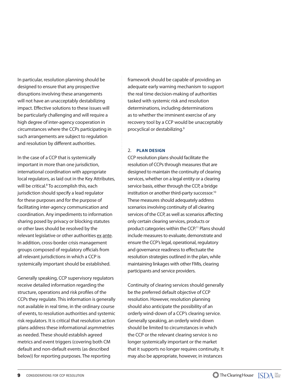In particular, resolution planning should be designed to ensure that any prospective disruptions involving these arrangements will not have an unacceptably destabilizing impact. Effective solutions to these issues will be particularly challenging and will require a high degree of inter-agency cooperation in circumstances where the CCPs participating in such arrangements are subject to regulation and resolution by different authorities.

In the case of a CCP that is systemically important in more than one jurisdiction, international coordination with appropriate local regulators, as laid out in the Key Attributes, will be critical.<sup>8</sup> To accomplish this, each jurisdiction should specify a lead regulator for these purposes and for the purpose of facilitating inter-agency communication and coordination. Any impediments to information sharing posed by privacy or blocking statutes or other laws should be resolved by the relevant legislative or other authorities ex ante. In addition, cross-border crisis management groups composed of regulatory officials from all relevant jurisdictions in which a CCP is systemically important should be established.

Generally speaking, CCP supervisory regulators receive detailed information regarding the structure, operations and risk profiles of the CCPs they regulate. This information is generally not available in real time, in the ordinary course of events, to resolution authorities and systemic risk regulators. It is critical that resolution action plans address these informational asymmetries as needed. These should establish agreed metrics and event triggers (covering both CM default and non-default events (as described below)) for reporting purposes. The reporting

framework should be capable of providing an adequate early warning mechanism to support the real time decision-making of authorities tasked with systemic risk and resolution determinations, including determinations as to whether the imminent exercise of any recovery tool by a CCP would be unacceptably procyclical or destabilizing.9

### 2. **PLAN DESIGN**

CCP resolution plans should facilitate the resolution of CCPs through measures that are designed to maintain the continuity of clearing services, whether on a legal entity or a clearing service basis, either through the CCP, a bridge institution or another third-party successor.10 These measures should adequately address scenarios involving continuity of all clearing services of the CCP, as well as scenarios affecting only certain clearing services, products or product categories within the CCP.<sup>11</sup> Plans should include measures to evaluate, demonstrate and ensure the CCP's legal, operational, regulatory and governance readiness to effectuate the resolution strategies outlined in the plan, while maintaining linkages with other FMIs, clearing participants and service providers.

Continuity of clearing services should generally be the preferred default objective of CCP resolution. However, resolution planning should also anticipate the possibility of an orderly wind-down of a CCP's clearing service. Generally speaking, an orderly wind-down should be limited to circumstances in which the CCP or the relevant clearing service is no longer systemically important or the market that it supports no longer requires continuity. It may also be appropriate, however, in instances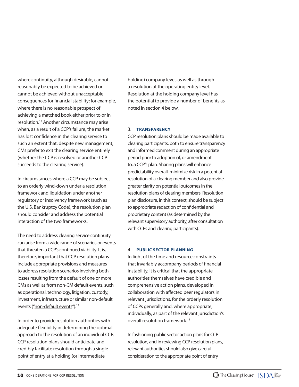where continuity, although desirable, cannot reasonably be expected to be achieved or cannot be achieved without unacceptable consequences for financial stability; for example, where there is no reasonable prospect of achieving a matched book either prior to or in resolution.12 Another circumstance may arise when, as a result of a CCP's failure, the market has lost confidence in the clearing service to such an extent that, despite new management, CMs prefer to exit the clearing service entirely (whether the CCP is resolved or another CCP succeeds to the clearing service).

In circumstances where a CCP may be subject to an orderly wind-down under a resolution framework and liquidation under another regulatory or insolvency framework (such as the U.S. Bankruptcy Code), the resolution plan should consider and address the potential interaction of the two frameworks.

The need to address clearing service continuity can arise from a wide range of scenarios or events that threaten a CCP's continued viability. It is, therefore, important that CCP resolution plans include appropriate provisions and measures to address resolution scenarios involving both losses resulting from the default of one or more CMs as well as from non-CM default events, such as operational, technology, litigation, custody, investment, infrastructure or similar non-default events ("non-default events").<sup>13</sup>

In order to provide resolution authorities with adequate flexibility in determining the optimal approach to the resolution of an individual CCP, CCP resolution plans should anticipate and credibly facilitate resolution through a single point of entry at a holding (or intermediate

holding) company level, as well as through a resolution at the operating entity level. Resolution at the holding company level has the potential to provide a number of benefits as noted in section 4 below.

### 3. **TRANSPARENCY**

CCP resolution plans should be made available to clearing participants, both to ensure transparency and informed comment during an appropriate period prior to adoption of, or amendment to, a CCP's plan. Sharing plans will enhance predictability overall, minimize risk in a potential resolution of a clearing member and also provide greater clarity on potential outcomes in the resolution plans of clearing members. Resolution plan disclosure, in this context, should be subject to appropriate redaction of confidential and proprietary content (as determined by the relevant supervisory authority, after consultation with CCPs and clearing participants).

### 4. **PUBLIC SECTOR PLANNING**

In light of the time and resource constraints that invariably accompany periods of financial instability, it is critical that the appropriate authorities themselves have credible and comprehensive action plans, developed in collaboration with affected peer regulators in relevant jurisdictions, for the orderly resolution of CCPs generally and, where appropriate, individually, as part of the relevant jurisdiction's overall resolution framework. 14

In fashioning public sector action plans for CCP resolution, and in reviewing CCP resolution plans, relevant authorities should also give careful consideration to the appropriate point of entry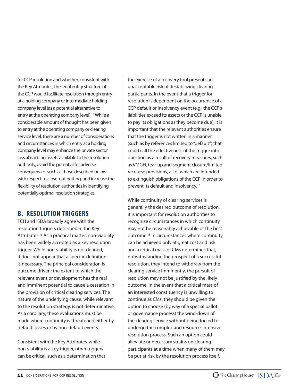for CCP resolution and whether, consistent with the Key Attributes, the legal entity structure of the CCP would facilitate resolution through entry at a holding company or intermediate holding company level (as a potential alternative to entry at the operating company level).<sup>15</sup> While a considerable amount of thought has been given to entry at the operating company or clearing service level, there are a number of considerations and circumstances in which entry at a holding company level may enhance the private sector loss absorbing assets available to the resolution authority, avoid the potential for adverse consequences, such as those described below with respect to close-out netting, and increase the flexibility of resolution authorities in identifying potentially optimal resolution strategies.

## **B. RESOLUTION TRIGGERS**

TCH and ISDA broadly agree with the resolution triggers described in the Key Attributes.16 As a practical matter, non-viability has been widely accepted as a key resolution trigger. While non-viability is not defined, it does not appear that a specific definition is necessary. The principal consideration is outcome driven: the extent to which the relevant event or development has the real and imminent potential to cause a cessation in the provision of critical clearing services. The nature of the underlying cause, while relevant to the resolution strategy, is not determinative. As a corollary, these evaluations must be made where continuity is threatened either by default losses or by non-default events.

Consistent with the Key Attributes, while non-viability is a key trigger, other triggers can be critical, such as a determination that the exercise of a recovery tool presents an unacceptable risk of destabilizing clearing participants. In the event that a trigger for resolution is dependent on the occurrence of a CCP default or insolvency event (e.g., the CCP's liabilities exceed its assets or the CCP is unable to pay its obligations as they become due), it is important that the relevant authorities ensure that the trigger is not written in a manner (such as by references limited to "default") that could call the effectiveness of the trigger into question as a result of recovery measures, such as VMGH, tear-up and segment closure/limited recourse provisions, all of which are intended to extinguish obligations of the CCP in order to prevent its default and insolvency.17

While continuity of clearing services is generally the desired outcome of resolution, it is important for resolution authorities to recognize circumstances in which continuity may not be reasonably achievable or the best outcome.18 In circumstances where continuity can be achieved only at great cost and risk and a critical mass of CMs determines that, notwithstanding the prospect of a successful resolution, they intend to withdraw from the clearing service imminently, the pursuit of resolution may not be justified by the likely outcome. In the event that a critical mass of an interested constituency is unwilling to continue as CMs, they should be given the option to choose (by way of a special ballot or governance process) the wind-down of the clearing service without being forced to undergo the complex and resource-intensive resolution process. Such an option could alleviate unnecessary strains on clearing participants at a time when many of them may be put at risk by the resolution process itself.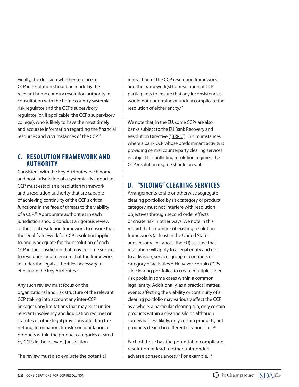Finally, the decision whether to place a CCP in resolution should be made by the relevant home country resolution authority in consultation with the home country systemic risk regulator and the CCP's supervisory regulator (or, if applicable, the CCP's supervisory college), who is likely to have the most timely and accurate information regarding the financial resources and circumstances of the CCP.19

## **C. RESOLUTION FRAMEWORK AND AUTHORITY**

Consistent with the Key Attributes, each home and host jurisdiction of a systemically important CCP must establish a resolution framework and a resolution authority that are capable of achieving continuity of the CCP's critical functions in the face of threats to the viability of a CCP.20 Appropriate authorities in each jurisdiction should conduct a rigorous review of the local resolution framework to ensure that the legal framework for CCP resolution applies to, and is adequate for, the resolution of each CCP in the jurisdiction that may become subject to resolution and to ensure that the framework includes the legal authorities necessary to effectuate the Key Attributes.<sup>21</sup>

Any such review must focus on the organizational and risk structure of the relevant CCP (taking into account any inter-CCP linkages), any limitations that may exist under relevant insolvency and liquidation regimes or statutes or other legal provisions affecting the netting, termination, transfer or liquidation of products within the product categories cleared by CCPs in the relevant jurisdiction.

The review must also evaluate the potential

interaction of the CCP resolution framework and the framework(s) for resolution of CCP participants to ensure that any inconsistencies would not undermine or unduly complicate the resolution of either entity.22

We note that, in the EU, some CCPs are also banks subject to the EU Bank Recovery and Resolution Directive ("BRRD"). In circumstances where a bank CCP whose predominant activity is providing central counterparty clearing services is subject to conflicting resolution regimes, the CCP resolution regime should prevail.

## **D. "SILOING" CLEARING SERVICES**

Arrangements to silo or otherwise segregate clearing portfolios by risk category or product category must not interfere with resolution objectives through second order effects or create risk in other ways. We note in this regard that a number of existing resolution frameworks (at least in the United States and, in some instances, the EU) assume that resolution will apply to a legal entity and not to a division, service, group of contracts or category of activities.<sup>23</sup> However, certain CCPs silo clearing portfolios to create multiple siloed risk pools, in some cases within a common legal entity. Additionally, as a practical matter, events affecting the viability or continuity of a clearing portfolio may variously affect the CCP as a whole, a particular clearing silo, only certain products within a clearing silo or, although somewhat less likely, only certain products, but products cleared in different clearing silos.<sup>24</sup>

Each of these has the potential to complicate resolution or lead to other unintended adverse consequences.25 For example, if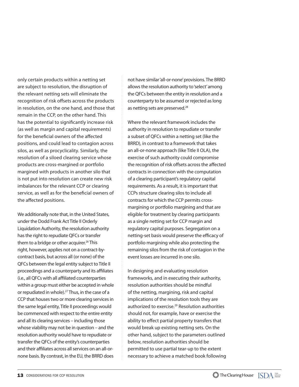only certain products within a netting set are subject to resolution, the disruption of the relevant netting sets will eliminate the recognition of risk offsets across the products in resolution, on the one hand, and those that remain in the CCP, on the other hand. This has the potential to significantly increase risk (as well as margin and capital requirements) for the beneficial owners of the affected positions, and could lead to contagion across silos, as well as procyclicality. Similarly, the resolution of a siloed clearing service whose products are cross-margined or portfolio margined with products in another silo that is not put into resolution can create new risk imbalances for the relevant CCP or clearing service, as well as for the beneficial owners of the affected positions.

We additionally note that, in the United States, under the Dodd Frank Act Title II Orderly Liquidation Authority, the resolution authority has the right to repudiate QFCs or transfer them to a bridge or other acquirer.<sup>26</sup> This right, however, applies not on a contract-bycontract basis, but across all (or none) of the QFCs between the legal entity subject to Title II proceedings and a counterparty and its affiliates (i.e., all QFCs with all affiliated counterparties within a group must either be accepted in whole or repudiated in whole).<sup>27</sup> Thus, in the case of a CCP that houses two or more clearing services in the same legal entity, Title II proceedings would be commenced with respect to the entire entity and all its clearing services – including those whose viability may not be in question – and the resolution authority would have to repudiate or transfer the QFCs of the entity's counterparties and their affiliates across all services on an all-ornone basis. By contrast, in the EU, the BRRD does

not have similar 'all-or-none' provisions. The BRRD allows the resolution authority to 'select' among the QFCs between the entity in resolution and a counterparty to be assumed or rejected as long as netting sets are preserved.<sup>28</sup>

Where the relevant framework includes the authority in resolution to repudiate or transfer a subset of QFCs within a netting set (like the BRRD), in contrast to a framework that takes an all-or-none approach (like Title II OLA), the exercise of such authority could compromise the recognition of risk offsets across the affected contracts in connection with the computation of a clearing participant's regulatory capital requirements. As a result, it is important that CCPs structure clearing silos to include all contracts for which the CCP permits crossmargining or portfolio margining and that are eligible for treatment by clearing participants as a single netting set for CCP margin and regulatory capital purposes. Segregation on a netting-set basis would preserve the efficacy of portfolio margining while also protecting the remaining silos from the risk of contagion in the event losses are incurred in one silo.

In designing and evaluating resolution frameworks, and in executing their authority, resolution authorities should be mindful of the netting, margining, risk and capital implications of the resolution tools they are authorized to exercise.<sup>29</sup> Resolution authorities should not, for example, have or exercise the ability to effect partial property transfers that would break up existing netting sets. On the other hand, subject to the parameters outlined below, resolution authorities should be permitted to use partial tear-up to the extent necessary to achieve a matched book following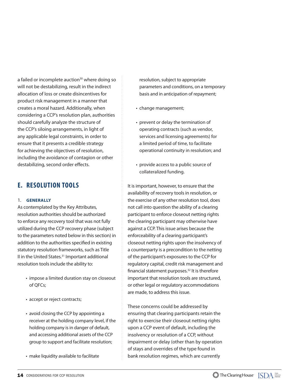a failed or incomplete auction<sup>30</sup> where doing so will not be destabilizing, result in the indirect allocation of loss or create disincentives for product risk management in a manner that creates a moral hazard. Additionally, when considering a CCP's resolution plan, authorities should carefully analyze the structure of the CCP's siloing arrangements, in light of any applicable legal constraints, in order to ensure that it presents a credible strategy for achieving the objectives of resolution, including the avoidance of contagion or other destabilizing, second order effects.

## **E. RESOLUTION TOOLS**

#### 1. **GENERALLY**

As contemplated by the Key Attributes, resolution authorities should be authorized to enforce any recovery tool that was not fully utilized during the CCP recovery phase (subject to the parameters noted below in this section) in addition to the authorities specified in existing statutory resolution frameworks, such as Title II in the United States.<sup>31</sup> Important additional resolution tools include the ability to:

- impose a limited duration stay on closeout of QFCs;
- accept or reject contracts;
- avoid closing the CCP by appointing a receiver at the holding company level, if the holding company is in danger of default, and accessing additional assets of the CCP group to support and facilitate resolution;
- make liquidity available to facilitate

resolution, subject to appropriate parameters and conditions, on a temporary basis and in anticipation of repayment;

- change management;
- prevent or delay the termination of operating contracts (such as vendor, services and licensing agreements) for a limited period of time, to facilitate operational continuity in resolution; and
- provide access to a public source of collateralized funding.

It is important, however, to ensure that the availability of recovery tools in resolution, or the exercise of any other resolution tool, does not call into question the ability of a clearing participant to enforce closeout netting rights the clearing participant may otherwise have against a CCP. This issue arises because the enforceability of a clearing participant's closeout netting rights upon the insolvency of a counterparty is a precondition to the netting of the participant's exposures to the CCP for regulatory capital, credit risk management and financial statement purposes. $32$  It is therefore important that resolution tools are structured, or other legal or regulatory accommodations are made, to address this issue.

These concerns could be addressed by ensuring that clearing participants retain the right to exercise their closeout netting rights upon a CCP event of default, including the insolvency or resolution of a CCP, without impairment or delay (other than by operation of stays and overrides of the type found in bank resolution regimes, which are currently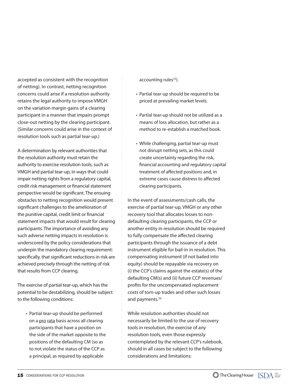accepted as consistent with the recognition of netting). In contrast, netting recognition concerns could arise if a resolution authority retains the legal authority to impose VMGH on the variation margin gains of a clearing participant in a manner that impairs prompt close-out netting by the clearing participant. (Similar concerns could arise in the context of resolution tools such as partial tear-up.)

A determination by relevant authorities that the resolution authority must retain the authority to exercise resolution tools, such as VMGH and partial tear-up, in ways that could impair netting rights from a regulatory capital, credit risk management or financial statement perspective would be significant. The ensuing obstacles to netting recognition would present significant challenges to the amelioration of the punitive capital, credit limit or financial statement impacts that would result for clearing participants. The importance of avoiding any such adverse netting impacts in resolution is underscored by the policy considerations that underpin the mandatory clearing requirement: specifically, that significant reductions in risk are achieved precisely through the netting of risk that results from CCP clearing.

The exercise of partial tear-up, which has the potential to be destabilizing, should be subject to the following conditions:

• Partial tear-up should be performed on a pro rata basis across all clearing participants that have a position on the side of the market opposite to the positions of the defaulting CM (so as to not violate the status of the CCP as a principal, as required by applicable

 $acc$ ounting rules $^{33}$ ).

- Partial tear-up should be required to be priced at prevailing market levels.
- Partial tear-up should not be utilized as a means of loss allocation, but rather as a method to re-establish a matched book.
- While challenging, partial tear-up must not disrupt netting sets, as this could create uncertainty regarding the risk, financial accounting and regulatory capital treatment of affected positions and, in extreme cases cause distress to affected clearing participants.

In the event of assessments/cash calls, the exercise of partial tear-up, VMGH or any other recovery tool that allocates losses to nondefaulting clearing participants, the CCP or another entity in resolution should be required to fully compensate the affected clearing participants through the issuance of a debt instrument eligible for bail-in in resolution. This compensating instrument (if not bailed into equity) should be repayable via recovery on (i) the CCP's claims against the estate(s) of the defaulting CM(s) and (ii) future CCP revenues/ profits for the uncompensated replacement costs of torn-up trades and other such losses and payments.<sup>34</sup>

While resolution authorities should not necessarily be limited to the use of recovery tools in resolution, the exercise of any resolution tools, even those expressly contemplated by the relevant CCP's rulebook, should in all cases be subject to the following considerations and limitations: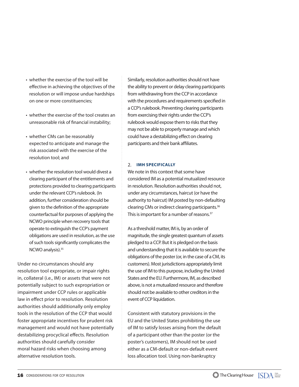- whether the exercise of the tool will be effective in achieving the objectives of the resolution or will impose undue hardships on one or more constituencies;
- whether the exercise of the tool creates an unreasonable risk of financial instability;
- whether CMs can be reasonably expected to anticipate and manage the risk associated with the exercise of the resolution tool; and
- whether the resolution tool would divest a clearing participant of the entitlements and protections provided to clearing participants under the relevant CCP's rulebook. (In addition, further consideration should be given to the definition of the appropriate counterfactual for purposes of applying the NCWO principle when recovery tools that operate to extinguish the CCP's payment obligations are used in resolution, as the use of such tools significantly complicates the NCWO analysis).<sup>35</sup>

Under no circumstances should any resolution tool expropriate, or impair rights in, collateral (i.e., IM) or assets that were not potentially subject to such expropriation or impairment under CCP rules or applicable law in effect prior to resolution. Resolution authorities should additionally only employ tools in the resolution of the CCP that would foster appropriate incentives for prudent risk management and would not have potentially destabilizing procyclical effects. Resolution authorities should carefully consider moral hazard risks when choosing among alternative resolution tools.

Similarly, resolution authorities should not have the ability to prevent or delay clearing participants from withdrawing from the CCP in accordance with the procedures and requirements specified in a CCP's rulebook. Preventing clearing participants from exercising their rights under the CCP's rulebook would expose them to risks that they may not be able to properly manage and which could have a destabilizing effect on clearing participants and their bank affiliates.

#### 2. **IMH SPECIFICALLY**

We note in this context that some have considered IM as a potential mutualized resource in resolution. Resolution authorities should not, under any circumstances, haircut (or have the authority to haircut) IM posted by non-defaulting clearing CMs or indirect clearing participants.36 This is important for a number of reasons.<sup>37</sup>

As a threshold matter, IM is, by an order of magnitude, the single greatest quantum of assets pledged to a CCP. But it is pledged on the basis and understanding that it is available to secure the obligations of the poster (or, in the case of a CM, its customers). Most jurisdictions appropriately limit the use of IM to this purpose, including the United States and the EU. Furthermore, IM, as described above, is not a mutualized resource and therefore should not be available to other creditors in the event of CCP liquidation.

Consistent with statutory provisions in the EU and the United States prohibiting the use of IM to satisfy losses arising from the default of a participant other than the poster (or the poster's customers), IM should not be used either as a CM-default or non-default event loss allocation tool. Using non-bankruptcy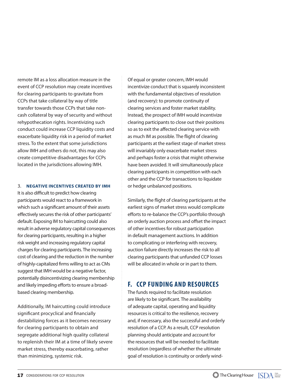remote IM as a loss allocation measure in the event of CCP resolution may create incentives for clearing participants to gravitate from CCPs that take collateral by way of title transfer towards those CCPs that take noncash collateral by way of security and without rehypothecation rights. Incentivizing such conduct could increase CCP liquidity costs and exacerbate liquidity risk in a period of market stress. To the extent that some jurisdictions allow IMH and others do not, this may also create competitive disadvantages for CCPs located in the jurisdictions allowing IMH.

#### 3. **NEGATIVE INCENTIVES CREATED BY IMH**

It is also difficult to predict how clearing participants would react to a framework in which such a significant amount of their assets effectively secures the risk of other participants' default. Exposing IM to haircutting could also result in adverse regulatory capital consequences for clearing participants, resulting in a higher risk weight and increasing regulatory capital charges for clearing participants. The increasing cost of clearing and the reduction in the number of highly-capitalized firms willing to act as CMs suggest that IMH would be a negative factor, potentially disincentivizing clearing membership and likely impeding efforts to ensure a broadbased clearing membership.

Additionally, IM haircutting could introduce significant procyclical and financially destabilizing forces as it becomes necessary for clearing participants to obtain and segregate additional high quality collateral to replenish their IM at a time of likely severe market stress, thereby exacerbating, rather than minimizing, systemic risk.

Of equal or greater concern, IMH would incentivize conduct that is squarely inconsistent with the fundamental objectives of resolution (and recovery): to promote continuity of clearing services and foster market stability. Instead, the prospect of IMH would incentivize clearing participants to close out their positions so as to exit the affected clearing service with as much IM as possible. The flight of clearing participants at the earliest stage of market stress will invariably only exacerbate market stress and perhaps foster a crisis that might otherwise have been avoided. It will simultaneously place clearing participants in competition with each other and the CCP for transactions to liquidate or hedge unbalanced positions.

Similarly, the flight of clearing participants at the earliest signs of market stress would complicate efforts to re-balance the CCP's portfolio through an orderly auction process and offset the impact of other incentives for robust participation in default management auctions. In addition to complicating or interfering with recovery, auction failure directly increases the risk to all clearing participants that unfunded CCP losses will be allocated in whole or in part to them.

## **F. CCP FUNDING AND RESOURCES**

The funds required to facilitate resolution are likely to be significant. The availability of adequate capital, operating and liquidity resources is critical to the resilience, recovery and, if necessary, also the successful and orderly resolution of a CCP. As a result, CCP resolution planning should anticipate and account for the resources that will be needed to facilitate resolution (regardless of whether the ultimate goal of resolution is continuity or orderly wind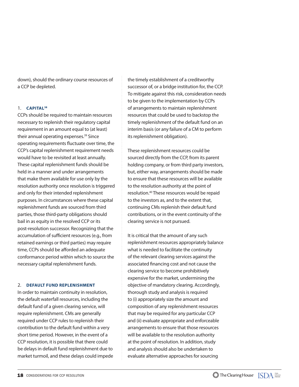down), should the ordinary course resources of a CCP be depleted.

#### 1. **CAPITAL38**

CCPs should be required to maintain resources necessary to replenish their regulatory capital requirement in an amount equal to (at least) their annual operating expenses.<sup>39</sup> Since operating requirements fluctuate over time, the CCP's capital replenishment requirement needs would have to be revisited at least annually. These capital replenishment funds should be held in a manner and under arrangements that make them available for use only by the resolution authority once resolution is triggered and only for their intended replenishment purposes. In circumstances where these capital replenishment funds are sourced from third parties, those third-party obligations should bail in as equity in the resolved CCP or its post-resolution successor. Recognizing that the accumulation of sufficient resources (e.g., from retained earnings or third parties) may require time, CCPs should be afforded an adequate conformance period within which to source the necessary capital replenishment funds.

#### 2. **DEFAULT FUND REPLENISHMENT**

In order to maintain continuity in resolution, the default waterfall resources, including the default fund of a given clearing service, will require replenishment. CMs are generally required under CCP rules to replenish their contribution to the default fund within a very short time period. However, in the event of a CCP resolution, it is possible that there could be delays in default fund replenishment due to market turmoil, and these delays could impede

the timely establishment of a creditworthy successor of, or a bridge institution for, the CCP. To mitigate against this risk, consideration needs to be given to the implementation by CCPs of arrangements to maintain replenishment resources that could be used to backstop the timely replenishment of the default fund on an interim basis (or any failure of a CM to perform its replenishment obligation).

These replenishment resources could be sourced directly from the CCP, from its parent holding company, or from third party investors, but, either way, arrangements should be made to ensure that these resources will be available to the resolution authority at the point of resolution.40 These resources would be repaid to the investors as, and to the extent that, continuing CMs replenish their default fund contributions, or in the event continuity of the clearing service is not pursued.

It is critical that the amount of any such replenishment resources appropriately balance what is needed to facilitate the continuity of the relevant clearing services against the associated financing cost and not cause the clearing service to become prohibitively expensive for the market, undermining the objective of mandatory clearing. Accordingly, thorough study and analysis is required to (i) appropriately size the amount and composition of any replenishment resources that may be required for any particular CCP and (ii) evaluate appropriate and enforceable arrangements to ensure that those resources will be available to the resolution authority at the point of resolution. In addition, study and analysis should also be undertaken to evaluate alternative approaches for sourcing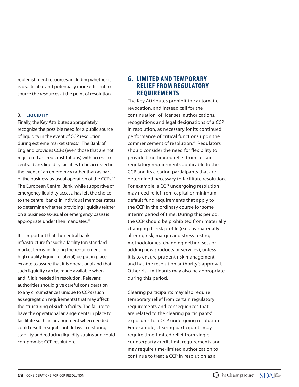replenishment resources, including whether it is practicable and potentially more efficient to source the resources at the point of resolution.

### 3. **LIQUIDITY**

Finally, the Key Attributes appropriately recognize the possible need for a public source of liquidity in the event of CCP resolution during extreme market stress.41 The Bank of England provides CCPs (even those that are not registered as credit institutions) with access to central bank liquidity facilities to be accessed in the event of an emergency rather than as part of the business-as-usual operation of the CCPs.<sup>42</sup> The European Central Bank, while supportive of emergency liquidity access, has left the choice to the central banks in individual member states to determine whether providing liquidity (either on a business-as-usual or emergency basis) is appropriate under their mandates.<sup>43</sup>

It is important that the central bank infrastructure for such a facility (on standard market terms, including the requirement for high quality liquid collateral) be put in place ex ante to assure that it is operational and that such liquidity can be made available when, and if, it is needed in resolution. Relevant authorities should give careful consideration to any circumstances unique to CCPs (such as segregation requirements) that may affect the structuring of such a facility. The failure to have the operational arrangements in place to facilitate such an arrangement when needed could result in significant delays in restoring stability and reducing liquidity strains and could compromise CCP resolution.

## **G. LIMITED AND TEMPORARY RELIEF FROM REGULATORY REQUIREMENTS**

The Key Attributes prohibit the automatic revocation, and instead call for the continuation, of licenses, authorizations, recognitions and legal designations of a CCP in resolution, as necessary for its continued performance of critical functions upon the commencement of resolution.44 Regulators should consider the need for flexibility to provide time-limited relief from certain regulatory requirements applicable to the CCP and its clearing participants that are determined necessary to facilitate resolution. For example, a CCP undergoing resolution may need relief from capital or minimum default fund requirements that apply to the CCP in the ordinary course for some interim period of time. During this period, the CCP should be prohibited from materially changing its risk profile (e.g., by materially altering risk, margin and stress testing methodologies, changing netting sets or adding new products or services), unless it is to ensure prudent risk management and has the resolution authority's approval. Other risk mitigants may also be appropriate during this period.

Clearing participants may also require temporary relief from certain regulatory requirements and consequences that are related to the clearing participants' exposures to a CCP undergoing resolution. For example, clearing participants may require time-limited relief from single counterparty credit limit requirements and may require time-limited authorization to continue to treat a CCP in resolution as a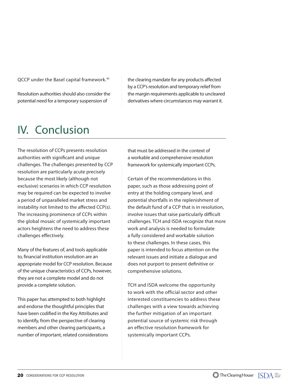QCCP under the Basel capital framework.<sup>45</sup>

Resolution authorities should also consider the potential need for a temporary suspension of

the clearing mandate for any products affected by a CCP's resolution and temporary relief from the margin requirements applicable to uncleared derivatives where circumstances may warrant it.

# IV. Conclusion

The resolution of CCPs presents resolution authorities with significant and unique challenges. The challenges presented by CCP resolution are particularly acute precisely because the most likely (although not exclusive) scenarios in which CCP resolution may be required can be expected to involve a period of unparalleled market stress and instability not limited to the affected CCP(s). The increasing prominence of CCPs within the global mosaic of systemically important actors heightens the need to address these challenges effectively.

Many of the features of, and tools applicable to, financial institution resolution are an appropriate model for CCP resolution. Because of the unique characteristics of CCPs, however, they are not a complete model and do not provide a complete solution.

This paper has attempted to both highlight and endorse the thoughtful principles that have been codified in the Key Attributes and to identify, from the perspective of clearing members and other clearing participants, a number of important, related considerations that must be addressed in the context of a workable and comprehensive resolution framework for systemically important CCPs.

Certain of the recommendations in this paper, such as those addressing point of entry at the holding company level, and potential shortfalls in the replenishment of the default fund of a CCP that is in resolution, involve issues that raise particularly difficult challenges. TCH and ISDA recognize that more work and analysis is needed to formulate a fully considered and workable solution to these challenges. In these cases, this paper is intended to focus attention on the relevant issues and initiate a dialogue and does not purport to present definitive or comprehensive solutions.

TCH and ISDA welcome the opportunity to work with the official sector and other interested constituencies to address these challenges with a view towards achieving the further mitigation of an important potential source of systemic risk through an effective resolution framework for systemically important CCPs.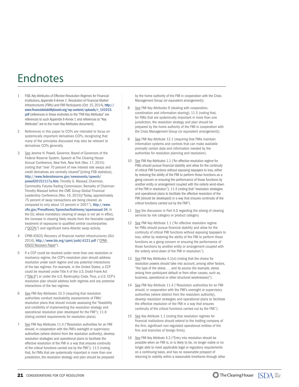# Endnotes

- 1 FSB, *Key Attributes of Effective Resolution Regimes for Financial Institutions, Appendix II-Annex 1: Resolution of Financial Market Infrastructures (FMIs) and FMI Participants* (Oct. 15, 2014), http:// www.financialstabilityboard.org/wp-content/uploads/r\_141015. pdf (references in these endnotes to the "FMI Key Attributes" are references to such Appendix II-Annex 1 and references to "Key Attributes" are to the main Key Attributes document).
- 2 References in this paper to CCPs are intended to focus on systemically important derivatives CCPs, recognizing that many of the principles discussed may also be relevant to derivatives CCPs generally.
- 3 See Jerome H. Powell, Governor, Board of Governors of the Federal Reserve System, Speech at The Clearing House Annual Conference, New York, New York (Nov. 17, 2015) (noting that "over 70 percent of new interest rate swaps and credit derivatives are centrally cleared")(citing FSB statistics), http://www.federalreserve.gov/newsevents/speech/ powell20151117a.htm; Timothy G. Massad, Chairman, Commodity Futures Trading Commission, Remarks of Chairman Timothy Massad before the CME Group Global Financial Leadership Conference (Nov. 16, 2015)("Today, approximately 75 percent of swap transactions are being cleared, as compared to only about 15 percent in 2007."), http://www. cftc.gov/PressRoom/SpeechesTestimony/opamassad-34. In the EU, where mandatory clearing of swaps is not yet in effect, the increase in clearing likely results from the favorable capital treatment of exposures to qualified central counterparties ("QCCPs") and significant trans-Atlantic swap activity.
- 4 CPMI-IOSCO, *Recovery of nancial market infrastructures* (Oct. 2014), http://www.bis.org/cpmi/publ/d121.pdf ("CPMI-IOSCO Recovery Paper").
- 5 If a CCP could be resolved under more than one resolution or insolvency regime, the CCP's resolution plan should address resolution under each regime and any potential interactions of the two regimes. For example, in the United States, a CCP could be resolved under Title II of the U.S. Dodd-Frank Act ("Title II") or under the U.S. Bankruptcy Code. Thus, a U.S. CCP's resolution plan should address both regimes and any potential interactions of the two regimes.
- 6 See FMI Key Attributes 10.3 (requiring that resolution authorities conduct resolvability assessments of FMIs' resolution plans that should include assessing the "feasibility and credibility of implementing the resolution strategy and operational resolution plan developed for the FMI"); 11.6 (listing content requirements for resolution plans).
- See FMI Key Attributes 11.4 ("Resolution authorities for an FMI should, in cooperation with the FMI's oversight or supervisory authorities (where distinct from the resolution authority), develop resolution strategies and operational plans to facilitate the effective resolution of the FMI in a way that ensures continuity of the critical functions carried out by the FMI."); 11.5 (noting that, for FMIs that are systemically important in more than one jurisdiction, the resolution strategy and plan should be prepared

by the home authority of the FMI in cooperation with the Crisis Management Group (or equivalent arrangement)).

- 8 See FMI Key Attributes 9 (dealing with cooperation, coordination and information sharing); 11.5 (noting that, for FMIs that are systemically important in more than one jurisdiction, the resolution strategy and plan should be prepared by the home authority of the FMI in cooperation with the Crisis Management Group (or equivalent arrangement)).
- 9 See FMI Key Attribute 12.1 (requiring that FMIs maintain information systems and controls that can make available promptly certain data and information needed by the authorities for resolution planning and resolution).
- 10 See FMI Key Attributes 1.1 ("An effective resolution regime for FMIs should pursue financial stability and allow for the continuity of critical FMI functions without exposing taxpayers to loss, either by restoring the ability of the FMI to perform those functions as a going concern or ensuring the performance of those functions by another entity or arrangement coupled with the orderly wind-down of the FMI in resolution."); 11.4 (noting that "resolution strategies and operational plans to facilitate the effective resolution of the FMI [should be developed] in a way that ensures continuity of the critical functions carried out by the FMI").
- 11 See the discussion in Part II.D regarding the siloing of clearing services by risk category or product category.
- 12 See FMI Key Attribute 1.1 ("An effective resolution regime for FMIs should pursue financial stability and allow for the continuity of critical FMI functions without exposing taxpayers to loss, either by restoring the ability of the FMI to perform those functions as a going concern or ensuring the performance of those functions by another entity or arrangement coupled with the orderly wind-down of the FMI in resolution.").
- 13 See FMI Key Attributes 4.1(vi) (noting that the choice for resolution powers should take into account, among other factors, "the type of the stress . . . and its source (for example, stress arising from participant default or from other causes, such as, business, operational or other structural weaknesses)").
- 14 See FMI Key Attribute 11.4 ("Resolution authorities for an FMI should, in cooperation with the FMI's oversight or supervisory authorities (where distinct from the resolution authority), develop resolution strategies and operational plans to facilitate the effective resolution of the FMI in a way that ensures continuity of the critical functions carried out by the FMI.").
- 15 See Key Attribute 1.1 (noting that resolution regimes for financial institutions should extend to the holding company of the firm, significant non-regulated operational entities of the firm and branches of foreign firms).
- 16 See FMI Key Attribute 4.3 ("Entry into resolution should be possible when an FMI is, or is likely to be, no longer viable or no longer able to meet applicable legal or regulatory requirements on a continuing basis, and has no reasonable prospect of returning to viability within a reasonable timeframe through other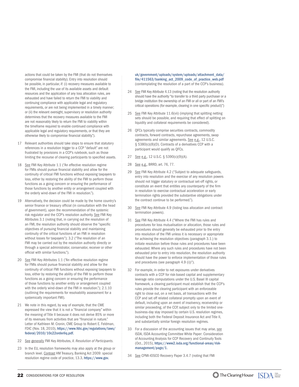actions that could be taken by the FMI (that do not themselves compromise financial stability). Entry into resolution should be possible, in particular, if: (i) recovery measures available to the FMI, including the use of its available assets and default resources and the application of any loss allocation rules, are exhausted and have failed to return the FMI to viability and continuing compliance with applicable legal and regulatory requirements, or are not being implemented in a timely manner; or (ii) the relevant oversight, supervisory or resolution authority determines that the recovery measures available to the FMI are not reasonably likely to return the FMI to viability within the timeframe required to enable continued compliance with applicable legal and regulatory requirements, or that they are otherwise likely to compromise financial stability.").

- 17 Relevant authorities should take steps to ensure that statutory references in a resolution trigger to a CCP "default" are not frustrated by provisions in a CCP's rulebook, such as those limiting the recourse of clearing participants to specified assets.
- 18 See FMI Key Attribute 1.1 ("An effective resolution regime for FMIs should pursue financial stability and allow for the continuity of critical FMI functions without exposing taxpayers to loss, either by restoring the ability of the FMI to perform those functions as a going concern or ensuring the performance of those functions by another entity or arrangement coupled with the orderly wind-down of the FMI in resolution.").
- 19 Alternatively, the decision could be made by the home country's senior finance or treasury official (in consultation with the head of government), upon the recommendation of the systemic risk regulator and the CCP's resolution authority. See FMI Key Attributes 3.1 (noting that, in carrying out the resolution of an FMI, the resolution authority should observe the "specific objectives of pursuing financial stability and maintaining continuity of the critical functions of an FMI in resolution without losses for taxpayers"); 3.2 ("The resolution of an FMI may be carried out by the resolution authority directly or through a special administrator, conservator, receiver or other official with similar functions.").
- 20 See FMI Key Attributes 1.1 ("An effective resolution regime for FMIs should pursue financial stability and allow for the continuity of critical FMI functions without exposing taxpayers to loss, either by restoring the ability of the FMI to perform those functions as a going concern or ensuring the performance of those functions by another entity or arrangement coupled with the orderly wind-down of the FMI in resolution."); 2.1.10 (outlining the requirements for resolvability assessment for a systemically important FMI).
- 21 We note in this regard, by way of example, that the CME expressed the view that it is not a "financial company" within the meaning of Title II because it does not derive 85% or more of its revenues from activities that are "financial in nature." Letter of Kathleen M. Cronin, CME Group to Robert E. Feldman, FDIC (Nov. 18, 2010), https://www.fdic.gov/regulations/laws/ federal/2010/10c22orderliq.pdf.
- 22 See generally FMI Key Attributes, *II. Resolution of Participants.*
- 23 In the EU, resolution frameworks may also apply at the group or branch level. Contrast HM Treasury, Banking Act 2009: special resolution regime code of practice, 13.3, https://www.gov.

uk/government/uploads/system/uploads/attachment\_data/ file/411563/banking\_act\_2009\_code\_of\_practice\_web.pdf (contemplating the resolution of a part of the CCP's business).

- 24 See FMI Key Attribute 4.13 (noting that the resolution authority should have the authority "to transfer to a third party purchaser or a bridge institution the ownership of an FMI or all or part of an FMI's critical operations (for example, clearing in one specific product)")
- 25 See FMI Key Attribute 11.6(vii) (implying that splitting netting sets should be possible, and requiring that effect of splitting on liquidity and collateral requirements be considered).
- 26 QFCs typically comprise securities contracts, commodity contracts, forward contracts, repurchase agreements, swap agreements and similar agreements. See e.g., 12 U.S.C. § 5380(c)(8)(D). Contracts of a derivatives CCP with a participant would qualify as QFCs.
- 27 See e.g., 12 U.S.C. § 5390(c)(9)(A).
- 28 See e.g., BRRD, art. 76, 77.
- 29 See FMI Key Attribute 4.2 ("Subject to adequate safeguards, entry into resolution and the exercise of any resolution powers should not trigger statutory or contractual set-off rights, or constitute an event that entitles any counterparty of the firm in resolution to exercise contractual acceleration or early termination rights provided the substantive obligations under the contract continue to be performed.").
- 30 See FMI Key Attribute 4.9 (listing loss allocation and contract termination powers).
- 31 See FMI Key Attribute 4.4 ("Where the FMI has rules and procedures for loss mutualisation or allocation, those rules and procedures should generally be exhausted prior to the entry into resolution of the FMI unless it is necessary or appropriate for achieving the resolution objectives (paragraph 3.1.) to initiate resolution before those rules and procedures have been exhausted. Where any such rules and procedures have not been exhausted prior to entry into resolution, the resolution authority should have the power to enforce implementation of those rules and procedures (see paragraph 4.9 (i))").
- 32 For example, in order to net exposures under derivatives contracts with a CCP for risk-based capital and supplementary leverage ratio computations under the U.S. Basel III capital framework, a clearing participant must establish that the CCP's rules provide the clearing participant with an enforceable right to close out, on a net basis, all transactions with the CCP and set off related collateral promptly upon an event of default, including upon an event of insolvency, receivership or similar proceeding, of the CCP, subject only to the limited onebusiness-day stay imposed by certain U.S. resolution regimes, including both the Federal Deposit Insurance Act and Title II, and substantially similar foreign resolution regimes.
- 33 For a discussion of the accounting issues that may arise, see ISDA, ISDA Accounting Committee White Paper: Consideration of Accounting Analysis for CCP Recovery and Continuity Tools (Oct., 2015), https://www2.isda.org/functional-areas/riskmanagement/page/1.
- 34 See CPMI-IOSCO Recovery Paper 3.4.7 (noting that FMI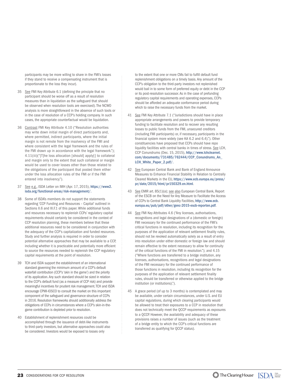participants may be more willing to share in the FMI's losses if they stand to receive a compensating instrument that is proportionate to the loss they incur).

- 35 See FMI Key Attribute 6.1 (defining the principle that no participant should be worse off as a result of resolution measures than in liquidation as the safeguard that should be observed when resolution tools are exercised). The NCWO analysis is more straightforward in the absence of such tools or in the case of resolution of a CCP's holding company. In such cases, the appropriate counterfactual would be liquidation.
- 36 Contrast FMI Key Attribute 4.10 ("Resolution authorities may write down initial margin of direct participants and, where permitted, indirect participants, where the initial margin is not remote from the insolvency of the FMI and where consistent with the legal framework and the rules of the FMI drawn up in accordance with the legal framework."); 4.11(iii)("[T]he loss allocation [should] apply[] to collateral and margin only to the extent that such collateral or margin would be used to cover losses other than those related to the obligations of the participant that posted them either under the loss allocation rules of the FMI or if the FMI entered into insolvency.").
- 37 See e.g., ISDA Letter on IMH (Apr. 17, 2015), https://www2. isda.org/functional-areas/risk-management/.
- 38 Some of ISDA's members do not support the statements regarding 'CCP Funding and Resources – Capital' outlined in Sections II.6 and III.F.1 of this paper. While additional funds and resources necessary to replenish CCPs' regulatory capital requirements should certainly be considered in the context of CCP resolution planning, these members believe that these additional resources need to be considered in conjunction with the adequacy of the CCP's capitalization and funded resources. Study and further analysis is required in order to consider potential alternative approaches that may be available to a CCP, including whether it is practicable and potentially more efficient to source the resources needed to replenish the CCP regulatory capital requirements at the point of resolution.
- 39 TCH and ISDA support the establishment of an international standard governing the minimum amount of a CCP's default waterfall contribution (CCP's 'skin in the game') and the priority of its application. Any such standard should be sized in relation to the CCP's default fund (as a measure of CCP risk) and provide meaningful incentives for prudent risk management. TCH and ISDA encourage CPMI-IOSCO to consult the market on this important component of the safeguard and governance structure of CCPs in 2016. Resolution frameworks should additionally address the obligations of CCPs in circumstances where a CCP's skin-in-thegame contribution is depleted prior to resolution.
- 40 Establishment of replenishment resources could be accomplished through the issuance of debt-like instruments to third-party investors, but alternative approaches could also be considered. Investors would be exposed to losses only

to the extent that one or more CMs fail to fulfill default fund replenishment obligations on a timely basis. Any amount of the CCP's obligation to the third-party investors not replenished would bail in to some form of preferred equity or debt in the CCP or its post-resolution successor. As in the case of prefunding regulatory capital requirements and operating expenses, CCPs should be afforded an adequate conformance period during which to raise the necessary funds from the market.

- 41 See FMI Key Attribute 7.1 ("Jurisdictions should have in place appropriate arrangements and powers to provide temporary funding to facilitate resolution and to recover any resulting losses to public funds from the FMI, unsecured creditors (including FMI participants) or, if necessary, participants in the financial system more widely (see KA 6.2 and 6.4)."). Other constituencies have proposed that CCPs should have repo liquidity facilities with central banks in times of stress. See LCH, CCP Conundrums (Dec. 15, 2015), http://www.lchclearnet. com/documents/731485/762444/CCP\_Conundrums\_An\_ LCH\_White\_Paper\_2.pdf/.
- 42 See European Central Bank and Bank of England Announce Measures to Enhance Financial Stability in Relation to Centrally Cleared Markets in the EU, https://www.ecb.europa.eu/press/ pr/date/2015/html/pr150329.en.html.
- 43 See EMIR art. 85(1)(a); see also European Central Bank, Report of the ESCB on the Need for Any Measure to Facilitate the Access of CCPs to Central Bank Liquidity Facilities, http://www.ecb. europa.eu/pub/pdf/other/genc-2015-escb-reporten.pdf.
- 44 See FMI Key Attributes 4.6 ("Any licenses, authorisations, recognitions and legal designations of a (domestic or foreign) FMI necessary for the continued performance of the FMI's critical functions in resolution, including its recognition for the purposes of the application of relevant settlement finality rules, should not be revoked automatically solely as a result of entry into resolution under either domestic or foreign law and should remain effective to the extent necessary to allow for continuity of the critical functions of the FMI in resolution."); and 4.15 ("Where functions are transferred to a bridge institution, any licenses, authorisations, recognitions and legal designations of the FMI necessary for the continued performance of those functions in resolution, including its recognition for the purposes of the application of relevant settlement finality rules, should be transferred or otherwise applied to the bridge institution (or institutions).").
- 45 A grace period (of up to 3 months) is contemplated and may be available, under certain circumstances, under U.S. and EU capital regulations, during which clearing participants would be allowed to treat their exposures to a CCP in resolution that does not technically meet the QCCP requirements as exposures to a QCCP. However, the availability and adequacy of these provisions raises a number of issues (such as the treatment of a bridge entity to which the CCP's critical functions are transferred as qualifying for QCCP status).